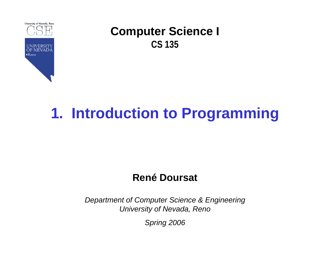

# **1. Introduction to Programming**

### **René Doursat**

*Department of Computer Science & Engineering University of Nevada, Reno*

*Spring 2006*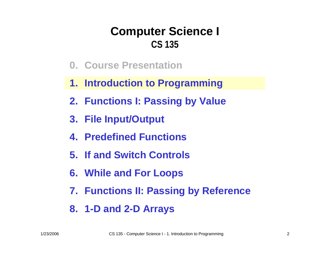- **0. Course Presentation**
- **1. Introduction to Programming**
- **2. Functions I: Passing by Value**
- **3. File Input/Output**
- **4. Predefined Functions**
- **5. If and Switch Controls**
- **6. While and For Loops**
- **7. Functions II: Passing by Reference**
- **8. 1-D and 2-D Arrays**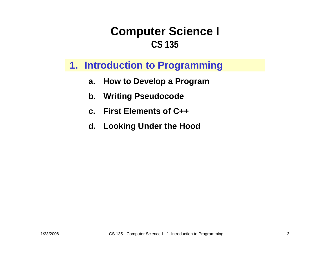### **1. Introduction to Programming**

- **a.How to Develop a Program**
- **b.Writing Pseudocode**
- **c. First Elements of C++**
- **d. Looking Under the Hood**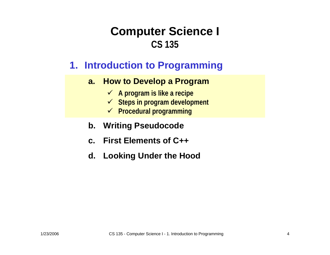### **1. Introduction to Programming**

#### **a. How to Develop a Program**

- 9 **A program i s like a recipe**
- 9 **Steps in program development**
- 9 **Procedural programming**

#### **b. Writing Pseudocode**

- **c. First Elements of C++**
- **d. Looking Under the Hood**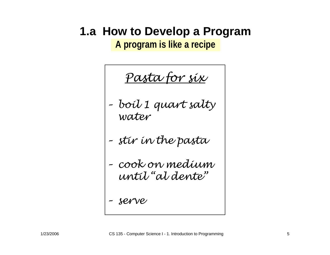### **1.a How to Develop a Program**

**A program is like a recipe**

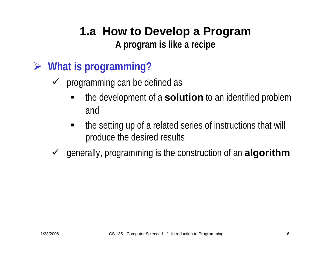### **1.a How to Develop a Program A program is like a recipe**

- ¾ **What is programming?**
	- $\sqrt{ }$  programming can be defined as
		- the development of a **solution** to an identified problem and
		- $\blacksquare$  the setting up of a related series of instructions that will produce the desired results
	- 9 generally, programming is the construction of an **algorithm**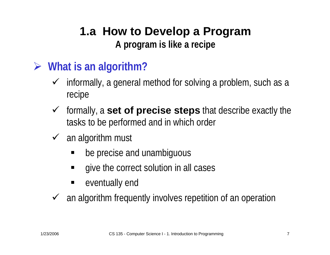### **1.a How to Develop a Program A program is like a recipe**

### ¾ **What is an algorithm?**

- $\checkmark$  informally, a general method for solving a problem, such as a recipe
- 9 formally, a **set of precise steps** that describe exactly the tasks to be performed and in which order
- $\checkmark$  an algorithm must
	- be precise and unambiguous
	- give the correct solution in all cases
	- $\blacksquare$ eventually end

 $\sqrt{ }$ an algorithm frequently involves repetition of an operation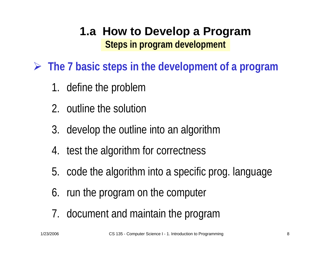¾ **The 7 basic steps in the development of a program**

- 1. define the problem
- 2. outline the solution
- 3. develop the outline into an algorithm
- 4. test the algorithm for correctness
- 5. code the algorithm into a specific prog. language
- 6. run the program on the computer
- 7. document and maintain the program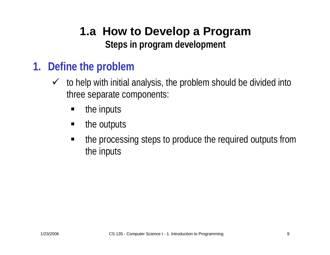### **1. Define the problem**

- $\checkmark$  to help with initial analysis, the problem should be divided into three separate components:
	- ٠ the inputs
	- П the outputs
	- the processing steps to produce the required outputs from the inputs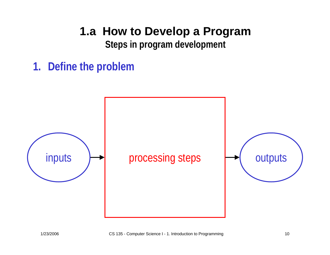### **1.a How to Develop a Program**

**Steps in program development**

**1. Define the problem**

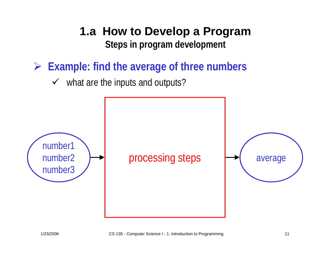¾ **Example: find the average of three numbers**

 $\checkmark$  what are the inputs and outputs?

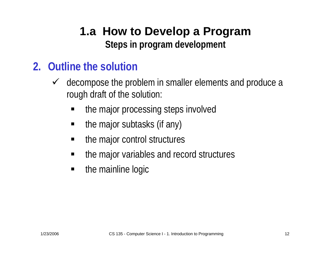### **2. Outline the solution**

- $\checkmark$  decompose the problem in smaller elements and produce a rough draft of the solution:
	- ٠ the major processing steps involved
	- the major subtasks (if any)
	- the major control structures
	- the major variables and record structures
	- $\blacksquare$ the mainline logic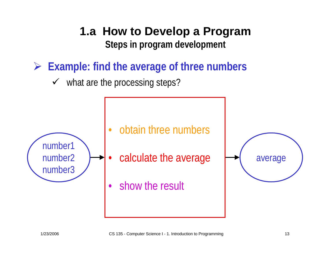¾ **Example: find the average of three numbers**

 $\checkmark$  what are the processing steps?

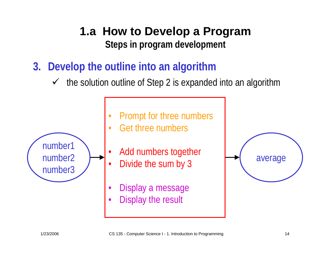**3. Develop the outline into an algorithm**

•

•

•

 $\checkmark$  the solution outline of Step 2 is expanded into an algorithm



- •Prompt for three numbers
- Get three numbers
	- Add numbers together
	- riud numbers together<br>Divida tha cum by 2 Divide the sum by 3
- •Display a message •
- •Display the result

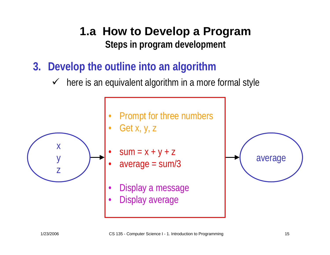- **3. Develop the outline into an algorithm**
	- $\checkmark$  here is an equivalent algorithm in a more formal style



- •Prompt for three numbers
- Get x, y, z
- $sum = x + y + z$
- average = sum/3
- Display a message
- •Display average

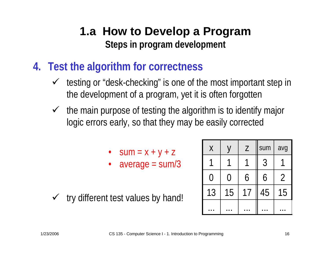- **4. Test the algorithm for correctness**
	- $\checkmark$  testing or "desk-checking" is one of the most important step in the development of a program, yet it is often forgotten
	- $\checkmark$  the main purpose of testing the algorithm is to identify major logic errors early, so that they may be easily corrected
		- $Sum = X + Y + Z$
		- average = sum/3
	- $\checkmark$  try different test values by hand!

| $\sf X$           |        | Z  | sum            | avg            |
|-------------------|--------|----|----------------|----------------|
|                   |        |    | $\mathfrak{Z}$ |                |
| $\left(\;\right)$ | $\Box$ | 6  | 6              | $\overline{2}$ |
| 13                | 15     | 17 | 45             | 15             |
|                   |        |    |                |                |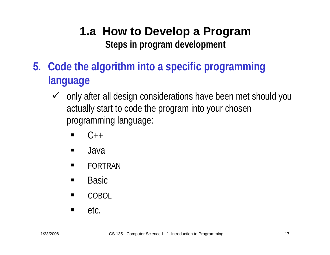- **5. Code the algorithm into a specific programming language**
	- $\checkmark$  only after all design considerations have been met should you actually start to code the program into your chosen programming language:
		- $\blacksquare$  $C++$
		- $\blacksquare$ Java
		- $\blacksquare$ FORTRAN
		- $\blacksquare$ Basic
		- $\blacksquare$ COBOL
		- $\blacksquare$ etc.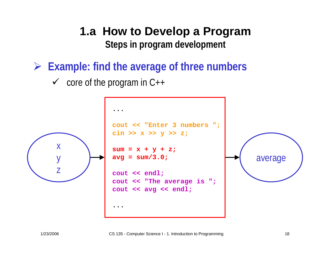¾ **Example: find the average of three numbers**

 $\checkmark$  core of the program in C++

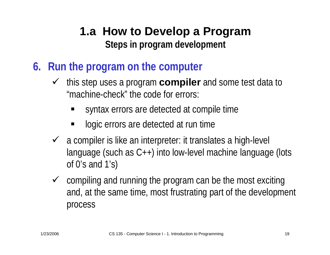- **6. Run the program on the computer**
	- $\checkmark$  this step uses a program **compiler** and some test data to "machine-check" the code for errors:
		- ٠ syntax errors are detected at compile time
		- logic errors are detected at run time
	- $\checkmark$  a compiler is like an interpreter: it translates a high-level language (such as C++) into low-level machine language (lots of 0's and 1's)
	- $\checkmark$  compiling and running the program can be the most exciting and, at the same time, most frustrating part of the development process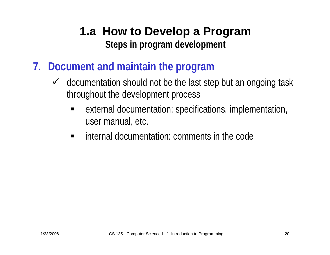- **7. Document and maintain the program**
	- $\checkmark$  documentation should not be the last step but an ongoing task throughout the development process
		- ٠ external documentation: specifications, implementation, user manual, etc.
		- $\blacksquare$ internal documentation: comments in the code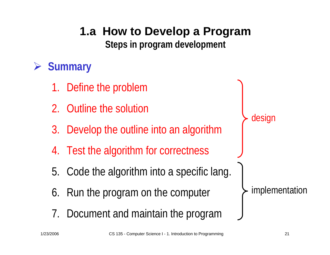# **1.a How to Develop a Program**

**Steps in program development**

#### ¾**Summary**

- 1.Define the problem
- 2. Outline the solution
- 3. Develop the outline into an algorithm
- 4. Test the algorithm for correctness
- 5. Code the algorithm into a specific lang.
- 6. Run the program on the computer
- 7. Document and maintain the program

design

implementation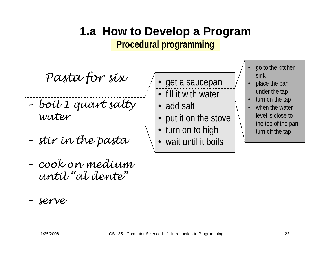### **1.a How to Develop a Program Procedural programming**

*Pasta for six*

- *– boil 1 q uart salty water*
- *–stir in the pasta*
- *–cook on medium until "al dente"*
- *– serv e*

• get a saucepan • fill it with water

• add salt

- •put it on the stove
- turn on to high
- wait until it boils
- • go to the kitchen sink
- • place the pan under the tap
- •turn on the tap
- •when the water level is close to the top of the pan, turn off the tap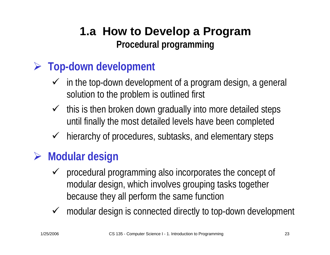### **1.a How to Develop a Program Procedural programming**

### ¾ **Top-down development**

- $\checkmark$  in the top-down development of a program design, a general solution to the problem is outlined first
- $\checkmark$  this is then broken down gradually into more detailed steps until finally the most detailed levels have been completed
- $\checkmark$ hierarchy of procedures, subtasks, and elementary steps

## ¾ **Modular design**

- $\checkmark$  procedural programming also incorporates the concept of modular design, which involves grouping tasks together because they all perform the same function
- $\checkmark$  modular design is connected directly to top-down development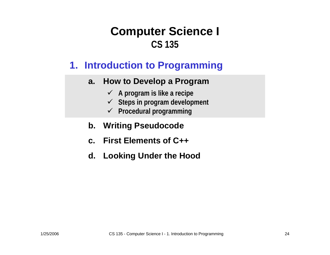### **1. Introduction to Programming**

#### **a. How to Develop a Program**

- 9 **A program i s like a recipe**
- 9 **Steps in program development**
- 9 **Procedural programming**

#### **b. Writing Pseudocode**

- **c. First Elements of C++**
- **d. Looking Under the Hood**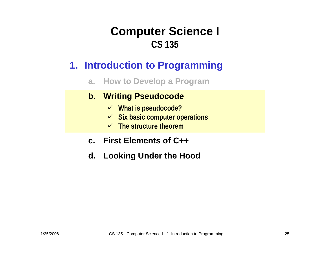### **1. Introduction to Programming**

**a.How to Develop a Program**

#### **b. Writing Pseudocode**

- 9 **What is pseudocode?**
- 9 **Six basic computer operations**
- $\checkmark$  The structure theorem
- **c. First Elements of C++**
- **d. Looking Under the Hood**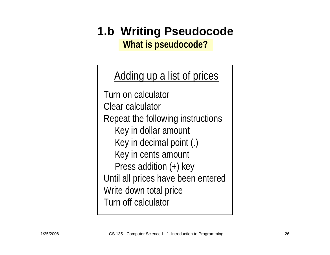# **1.b Writing Pseudocode**

**What is pseudocode?**

Adding up a list of prices

Turn on calculatorClear calculatorRepeat the following instructions Key in dollar amount Key in decimal point (.) Key in cents amount Press addition (+) key Until all prices have been entered Write down total price Turn off calculator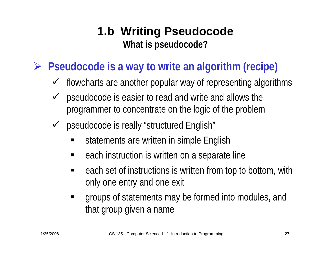### **1.b Writing Pseudocode What is pseudocode?**

- ¾ **Pseudocode is a way to write an algorithm (recipe)**
	- $\checkmark$ flowcharts are another popular way of representing algorithms
	- $\checkmark$  pseudocode is easier to read and write and allows the programmer to concentrate on the logic of the problem
	- $\checkmark$  pseudocode is really "structured English"
		- statements are written in simple English
		- each instruction is written on a separate line
		- $\blacksquare$  each set of instructions is written from top to bottom, with only one entry and one exit
		- $\blacksquare$  groups of statements may be formed into modules, and that group given a name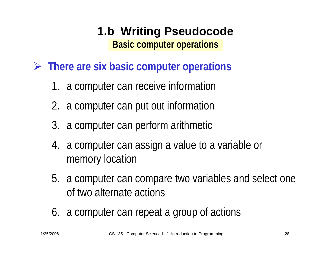- ¾ **There are six basic computer operations**
	- 1. a computer can receive information
	- 2. a computer can put out information
	- 3. a computer can perform arithmetic
	- 4. a computer can assign a value to a variable or memory location
	- 5. a computer can compare two variables and select one of two alternate actions
	- 6. a computer can repeat a group of actions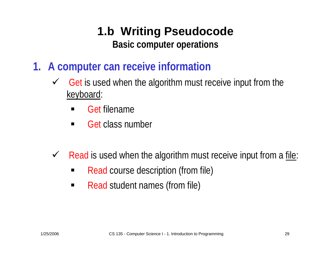- **1. A computer can receive information**
	- $\checkmark$  Get is used when the algorithm must receive input from the keyboard:
		- ٠ Get filename
		- $\blacksquare$ Get class number
	- $\checkmark$  Read is used when the algorithm must receive input from a file:
		- $\blacksquare$ Read course description (from file)
		- $\blacksquare$ Read student names (from file)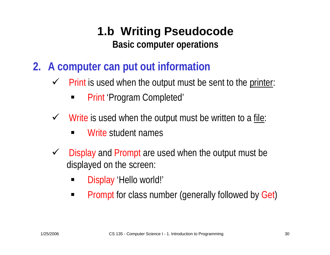- **2. A computer can put out information**
	- $\checkmark$  Print is used when the output must be sent to the printer:
		- ٠ Print 'Program Completed'
	- $\checkmark$  Write is used when the output must be written to a file:
		- $\blacksquare$ Write student names
	- $\checkmark$  Display and Prompt are used when the output must be displayed on the screen:
		- ٠ Display 'Hello world!'
		- $\blacksquare$ Prompt for class number (generally followed by Get)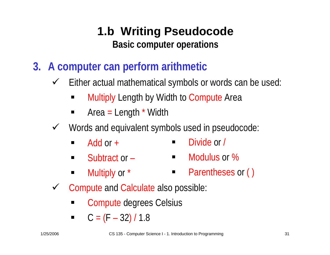- **3. A computer can perform arithmetic**
	- $\checkmark$  Either actual mathematical symbols or words can be used:
		- ٠ Multiply Length by Width to Compute Area
		- $\blacksquare$  Area  $\blacksquare$ Length \* Width
	- V Words and equivalent symbols used in pseudocode:
		- $\blacksquare$ ■ Divide or /  $\blacksquare$  $\blacksquare$  Add or  $\blacksquare$
		- Modulus or %  $\blacksquare$ ■ Subtract or –
		- **Parentheses or ()**  $\blacksquare$  . ■ Multiply or  $*$
	- $\checkmark$  Compute and Calculate also possible:
		- $\blacksquare$ Compute degrees Celsius
		- $\blacksquare$  $C = (F$ 32) / 1.8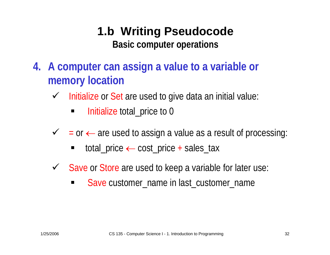- **4. A computer can assign a value to a variable or memory location**
	- $\checkmark$  Initialize or Set are used to give data an initial value:
		- $\blacksquare$ Initialize total\_price to 0
	- $\checkmark$  = or  $\leftarrow$  are used to assign a value as a result of processing:
		- ٠ total\_price ← cost\_price + sales\_tax
	- Save or Store are used to keep a variable for later use:
		- $\blacksquare$ Save customer\_name in last\_customer\_name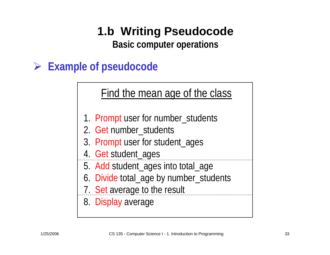# **1.b Writing Pseudocode**

**Basic computer operations**

### ¾ **Example of pseudocode**

Find the mean age of the class

- 1. Prompt user for number\_students
- 2. Get number\_students
- 3. Prompt user for student\_ages
- 4. Get student\_ages
- 5. Add student\_ages into total\_age
- 6. Divide total\_age by number\_students
- 7. Set average to the result

8. Display average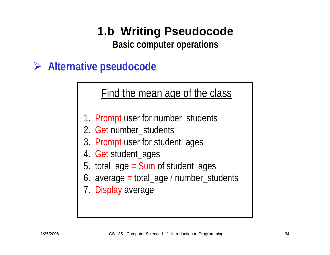# **1.b Writing Pseudocode**

**Basic computer operations**

### ¾ **Alternative pseudocode**

Find the mean age of the class

- 1. Prompt user for number\_students
- 2. Get number\_students
- 3. Prompt user for student\_ages
- 4. Get student\_ages
- 5. total\_age = Sum of student\_ages
- 6. average = total\_age / number\_students
- 7. Display average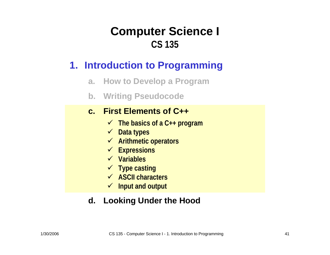### **1. Introduction to Programming**

- **a. How to Develop a Program**
- **b. Writing Pseudocode**

#### **c. First Elements of C++**

- 9 **The basics of a C++ program**
- 9 **Data types**
- 9 **Arithmetic operators**
- 9 **Expressions**
- 9 **Variables**
- 9 **Type casting**
- 9 **ASCII characters**
- 9 **Input and output**

### **d. Looking Under the Hood**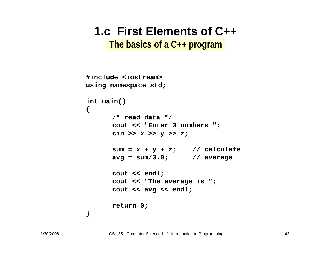**The basics of a C++ program**

```
cout << "Enter 3 numbers ";
cout "Enter ";
         cin >> x >> y >> z;
cin y 
         sum = x + y + z;
sum = x + y + z; // calculate
         avg = sum/3.0;
avg = sum/3.0; // average
         cout << endl;
         cout << "The average is ";
         cout << avg << endl;
         ...
return 0;
#include <iostream>
using namespace std;
int main()
{
         /* read data */
         cout << endl;<br>cout << "The average is ";<br>cout << avg << endl;
}
```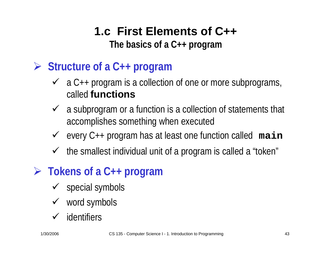**The basics of a C++ program**

- ¾ **Structure of a C++ program**
	- $\checkmark$  a C++ program is a collection of one or more subprograms, called **functions**
	- $\checkmark$  a subprogram or a function is a collection of statements that accomplishes something when executed
	- 9 every C++ program has at least one function called **main**
	- $\checkmark$  the smallest individual unit of a program is called a "token"
- ¾ **Tokens of a C++ program**
	- $\checkmark$  special symbols
	- $\checkmark$  word symbols
	- $\checkmark$  identifiers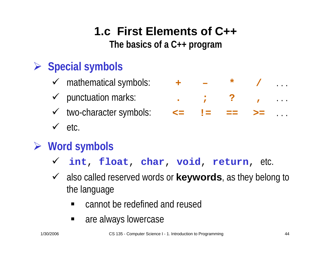**The basics of a C++ program**

# ¾ **Special symbols**

- $\checkmark$  mathematical symbols:
- $\checkmark$  punctuation marks:
- $\checkmark$  two-character symbols:
- $\checkmark$  etc.

## ¾ **Word symbols**

- 9 **int**, **float**, **char**, **void**, **return**, etc.
- ◆ also called reserved words or **keywords**, as they belong to the language
	- $\blacksquare$ cannot be redefined and reused
	- $\blacksquare$ are always lowercase

|  | $+$ $ *$ /                                        |  |
|--|---------------------------------------------------|--|
|  |                                                   |  |
|  | $\leq$ $\equiv$ $\equiv$ $\geq$ $\equiv$ $\ldots$ |  |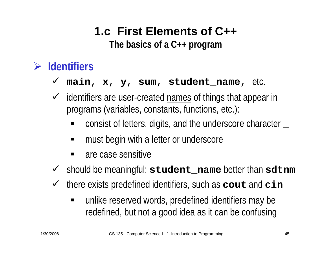**The basics of a C++ program**

#### ¾**Identifiers**

#### $\checkmark$ **main**, **x**, **y**, **sum**, **student\_name**, etc.

- $\checkmark$  identifiers are user-created names of things that appear in programs (variables, constants, functions, etc.):
	- ٠ consist of letters, digits, and the underscore character **\_**
	- must begin with a letter or underscore
	- are case sensitive
- 9 should be meaningful: **student\_name** better than **sdtnm**
- $\sqrt{ }$  there exists predefined identifiers, such as **cout** and **cin**
	- $\blacksquare$  unlike reserved words, predefined identifiers may be redefined, but not a good idea as it can be confusing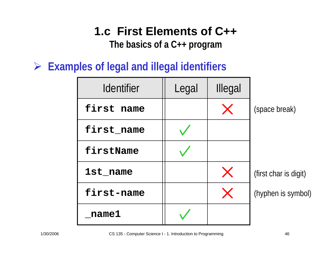**The basics of a C++ program**

¾ **Examples of legal and illegal identifiers**

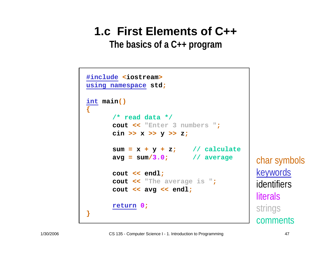**The basics of a C++ program**

```
#include <iostream>
#include
<iostream
using namespace std;
>using namespace std
;
int main()
int 
{
             /* read data */
/* read data */
            cout << "Enter 3 numbers ";
cout << "Enter 3 numbers "
            cin >> x >> y >> z;
;cin >> >> y >>
z
             sum = x + y + z; // calculate
;sum 
= x 
+ 
+
z
; // calculateavg = sum/3.0; // average

= sum
/3.0; // average
            cout << endl;
cout << endl
            cout << "The average is ";
;cout << "The average is "
;
            cout << avg << endl;
cout << << endl
;
            return 0;
return
0
;
}
{
}
```
char symbols keywords identifiersliteralsstrings comments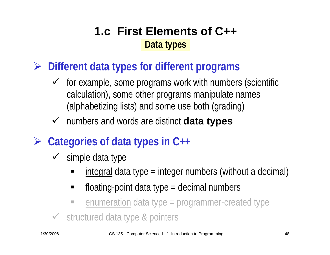### **1.c First Elements of C++Data types**

¾ **Different data types for different programs**

- $\checkmark$  for example, some programs work with numbers (scientific calculation), some other programs manipulate names (alphabetizing lists) and some use both (grading)
- 9 numbers and words are distinct **data types**
- ¾ **Categories of data types in C++**
	- $\checkmark$  simple data type
		- integral data type = integer numbers (without a decimal)
		- $\blacksquare$  $f$ loating-point data type = decimal numbers
		- $\mathbb{R}^3$ enumeration data type = programmer-created type
	- ◆ structured data type & pointers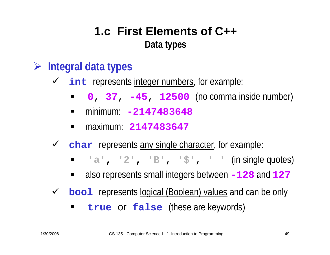### **1.c First Elements of C++Data types**

- ¾ **Integral data types**
	- ◆ int represents integer numbers, for example:
		- **<sup>0</sup>**, **37**, **-45**, **<sup>12500</sup>** (no comma inside number)
		- $\blacksquare$ minimum: **-2147483648**
		- $\blacksquare$ maximum: **2147483647**
	- 9 **char** represents any single character, for example:
		- **'a', '2', 'B'**, **'\$'**, **' '** (in single quotes)
		- $\blacksquare$ also represents small integers between **-128** and **<sup>127</sup>**
	- ◆ **bool** represents logical (Boolean) values and can be only
		- $\blacksquare$ **true** or **false** (these are keywords)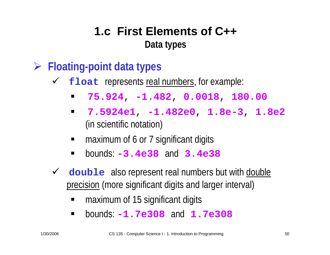### **1.c First Elements of C++Data types**

- ¾ **Floating-point data types**
	- $\checkmark$ **float** represents real numbers, for example:
		- $\blacksquare$ **75.924**, **-1.482**, **0.0018**, **180.00**
		- **7.5924e1**, **-1.482e0**, **1.8e-3**, **1.8e2** (in scientific notation)
		- maximum of 6 or 7 significant digits
		- $\blacksquare$ bounds: **-3.4e38** and **3.4e38**
	- $\checkmark$  **double** also represent real numbers but with double precision (more significant digits and larger interval)
		- $\blacksquare$ maximum of 15 significant digits
		- $\blacksquare$ bounds: **-1.7e308** and **1.7e308**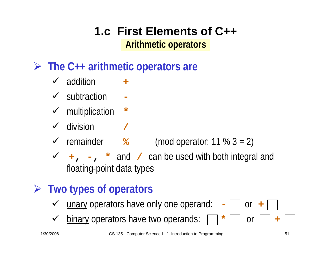### **1.c First Elements of C++Arithmetic operators**

### ¾ **The C++ arithmetic operators are**

- $\checkmark$  addition **+**
- $\checkmark$  subtraction **-**
- $\checkmark$  multiplication **\***
- $\checkmark$  division **/**
- $\checkmark$  remainder **%**(mod operator:  $11 \% 3 = 2$ )

9 **+, - , \*** and **/** can be used with both integral and floating-point data types

## ¾ **Two types of operators**

- $\checkmark$  unary operators have only one operand: **-** or or  $+$  |
- $\checkmark$ binary operators have two operands:  $\Box$  **\***  $\Box$  or

**+**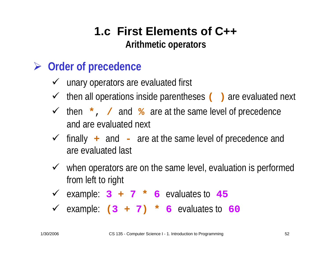### **1.c First Elements of C++Arithmetic operators**

### ¾ **Order of precedence**

- $\checkmark$  unary operators are evaluated first
- 9 then all operations inside parentheses **( )** are evaluated next
- 9 then **\*** , **/** and **%** are at the same level of precedence and are evaluated next
- 9 finally **+** and **-**- are at the same level of precedence and are evaluated last
- $\checkmark$  when operators are on the same level, evaluation is performed from left to right
- $\checkmark$  example:  $3 + 7 \times 6$  evaluates to  $45$
- $\checkmark$  example:  $(3 + 7) * 6$  evaluates to  $60$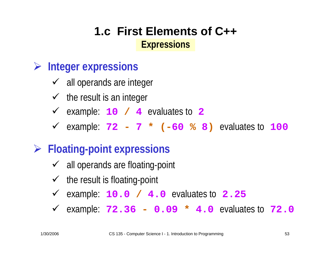### **1.c First Elements of C++Expressions**

### ¾ **Integer expressions**

- $\checkmark$  all operands are integer
- $\checkmark$  the result is an integer
- 9 example: **10 / 4** evaluates to **2**
- 9 example: **<sup>72</sup> - 7 \* ( -60 % 8 )** evaluates to **100**

### ¾ **Floating-point expressions**

- $\checkmark$  all operands are floating-point
- $\checkmark$  the result is floating-point
- 9 example: **10.0 / 4.0** evaluates to **2.25**
- 9 example: **72.36 - 0.09 \* 4.0** evaluates to **72.0**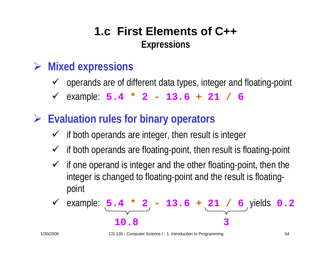### **1.c First Elements of C++Expressions**

### ¾ **Mixed expressions**

- $\checkmark$  operands are of different data types, integer and floating-point
- 9 example: **5.4 \* 2 - 13.6 + 21 / 6**
- ¾ **Evaluation rules for binary operators**
	- $\checkmark$  if both operands are integer, then result is integer
	- $\checkmark$ if both operands are floating-point, then result is floating-point
	- $\checkmark$  if one operand is integer and the other floating-point, then the integer is changed to floating-point and the result is floatingpoint

$$
\frac{\sqrt{\text{example: } 5.4 \times 2 - 13.6 + 21 / 6}}{10.8} \text{ yields } 0.2
$$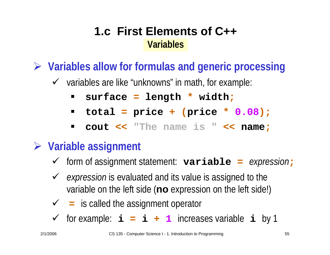¾ **Variables allow for formulas and generic processing**

- $\checkmark$  variables are like "unknowns" in math, for example:
	- $\blacksquare$ **surface = length \* width ;**
	- $\blacksquare$ **total = price <sup>+</sup> (price \* 0.08);**
	- $\blacksquare$ **cout << "The name is " << name ;**

### ¾ **Variable assignment**

- 9 form of assignment statement: **variable =** *expression* **;**
- ◆ *expression* is evaluated and its value is assigned to the variable on the left side (**no** expression on the left side!)
- 9 **=** is called the assignment operator
- $\checkmark$  for example:  $\dot{i} = i + 1$  increases variable  $\dot{i}$  by 1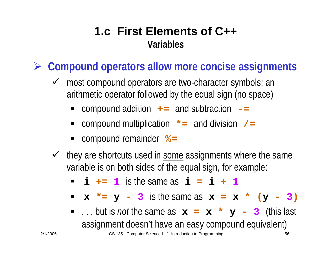¾ **Compound operators allow more concise assignments**

- $\checkmark$  most compound operators are two-character symbols: an arithmetic operator followed by the equal sign (no space)
	- compound addition **+=** and subtraction **-=**
	- ٠ compound multiplication **\*=** and division **/=**
	- compound remainder  $\approx$
- $\checkmark$ they are shortcuts used in some assignments where the same variable is on both sides of the equal sign, for example:
	- $\blacksquare$  **i**  $\textbf{+}$   $\blacksquare$  **1** is the same as  $\boldsymbol{\textbf{i}}$   $\blacksquare$   $\blacksquare$   $\blacksquare$   $\blacksquare$   $\blacksquare$
	- $\bf{x}$   $\bf{x} = \bf{y} \bf{3}$  is the same as  $\bf{x} = \bf{x}$   $\bf{x}$  ( $\bf{y} \bf{3}$ )
	- . . . but is *not* the same as **<sup>x</sup> = <sup>x</sup>\* y - <sup>3</sup>**(this last assignment doesn't have an easy compound equivalent)

<sup>2/1/2006</sup> CS 135 - Computer Science I - 1. Introduction to Programming 56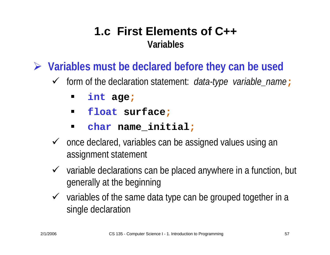¾ **Variables must be declared before they can be used**

- 9 form of the declaration statement: *data-type variable\_name* **;**
	- $\blacksquare$ **int age ;**
	- $\blacksquare$ **float surface ;**
	- **char name\_initial ;**
- $\checkmark$  once declared, variables can be assigned values using an assignment statement
- $\checkmark$  variable declarations can be placed anywhere in a function, but generally at the beginning
- $\checkmark$  variables of the same data type can be grouped together in a single declaration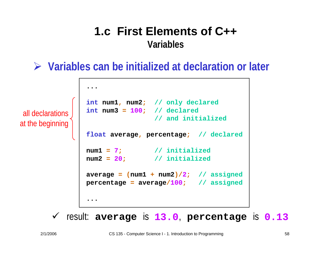¾ **Variables can be initialized at declaration or later**

all declarationsat the beginning

```
...int num1, num2; // only declared
int num3 = 100; // declared
                 // and initialized
float average, percentage; // declared
num1 =7; // initialized
num2 = 20
                ; // initialized
average = (num1
+ num2)/
2; // assigned
percentage
= average
/100
; // assigned
...
```
 $\checkmark$  result: average is 13.0, percentage is 0.13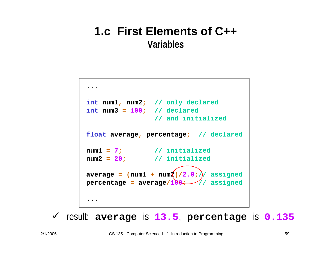```
...int num1, num2; // only declared
int num3 = 100; // declared
                // and initialized
float average, percentage; // declared
num1 =7; // initialized
num2 = 20
              ; // initialized
average = (num1
+ num2)/2.0
;// assigned
percentage
= average
/100
; // assigned
...
```
 $\checkmark$  result: average is 13.5, percentage is 0.135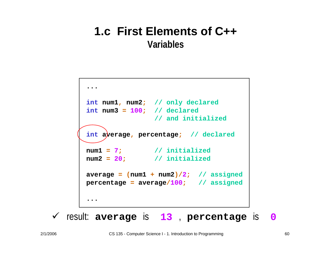```
...int num1, num2; // only declared
int num3 = 100; // declared
                // and initialized
int average, percentage; // declared
num1 =7; // initialized
num2 = 20
              ; // initialized
average = (num1
+ num2)/
2; // assigned
percentage
= average
/100
; // assigned
...
```
 $\checkmark$  result: average is 13, percentage is 0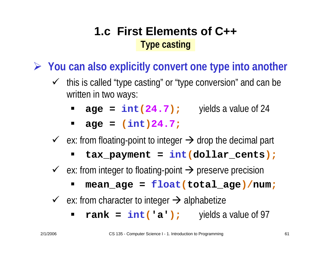### **1.c First Elements of C++Type casting**

¾ **You can also explicitly convert one type into another**

- $\checkmark$  this is called "type casting" or "type conversion" and can be written in two ways:
	- $\blacksquare$ **age =**  $int(24.7)$ **;** yields a value of 24
	- $\blacksquare$ **age = (int )24.7 ;**
- $\checkmark$  ex: from floating-point to integer  $\Rightarrow$  drop the decimal part
	- **tax\_payment = int (dollar\_cents);**
- $\checkmark$  ex: from integer to floating-point  $\Rightarrow$  preserve precision
	- **mean\_age = float (total\_age)/num ;**
- $\checkmark$  ex: from character to integer  $\Rightarrow$  alphabetize
	- **rank = int ('a');** yields a value of 97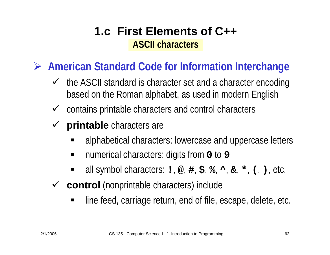### **1.c First Elements of C++ASCII characters**

¾ **American Standard Code for Information Interchange**

- $\checkmark$  the ASCII standard is character set and a character encoding based on the Roman alphabet, as used in modern English
- $\checkmark$  contains printable characters and control characters
- $\checkmark$ **printable** characters are
	- alphabetical characters: lowercase and uppercase letters
	- $\blacksquare$ ■ numerical characters: digits from 0 to 9
	- all symbol characters: **!**, **@**, **#**, **\$**, **%**, **^**, **&**, **\***, **(**, **)**, etc.
- 9 **control** (nonprintable characters) include
	- $\blacksquare$ line feed, carriage return, end of file, escape, delete, etc.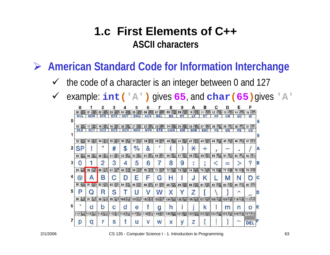### **1.c First Elements of C++ASCII characters**

¾ **American Standard Code for Information Interchange**

- $\checkmark$ the code of a character is an integer between 0 and 127
- $\checkmark$ example: **int ('A' )** gives **65**, and **char (65 )**gives **'A'**

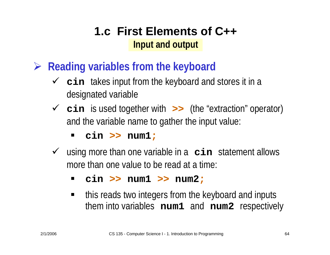### **1.c First Elements of C++Input and output**

- ¾ **Reading variables from the keyboard**
	- **V cin** takes input from the keyboard and stores it in a designated variable
	- 9 **cin** is used together with **>>** (the "extraction" operator) and the variable name to gather the input value:

 $\blacksquare$ **cin >> num1 ;**

- 9 using more than one variable in a **cin** statement allows more than one value to be read at a time:
	- $\blacksquare$ **cin >> num1 >> num2 ;**
	- $\blacksquare$  this reads two integers from the keyboard and inputs them into variables **num1** and **num2** respectively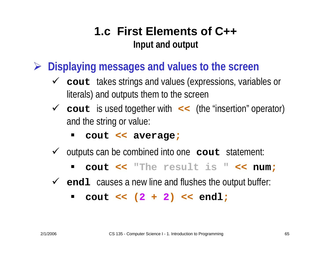### **1.c First Elements of C++Input and output**

- ¾ **Displaying messages and values to the screen**
	- 9 **cout** takes strings and values (expressions, variables or literals) and outputs them to the screen
	- 9 **cout** is used together with **<<** (the "insertion" operator) and the string or value:
		- $\blacksquare$ **cout << average ;**
	- $\checkmark$  outputs can be combined into one **cout** statement:
		- $\blacksquare$ **cout << "The result is " << num ;**
	- ◆ endl causes a new line and flushes the output buffer:
		- $\blacksquare$ **cout << ( 2 + 2 ) << endl ;**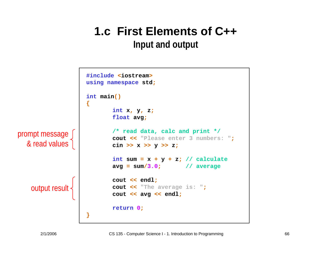### **Input and output**

```
#include
<iostream>using namespace std;
                     int main()
                    {
                             int
x, 
y, 
z;
                             float avg;
                            /* read data, calc and print */
                            cout << "Please enter 3 numbers: ";
                            cin >> x >> y >>
z;
                             int sum 
= x 
+ y 
+
z; // calculate
                            avg 
= sum
/3.0; // average
                            cout << endl;
                            cout << "The average is: ";
                            cout << avg << endl;
                            return0;
                    }
prompt message
  & read values
   output result
```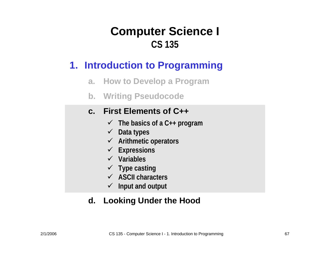### **1. Introduction to Programming**

- **a. How to Develop a Program**
- **b. Writing Pseudocode**

### **c. First Elements of C++**

- 9 **The basics of a C++ program**
- 9 **Data types**
- 9 **Arithmetic operators**
- 9 **Expressions**
- 9 **Variables**
- 9 **Type casting**
- 9 **ASCII characters**
- 9 **Input and output**

### **d. Looking Under the Hood**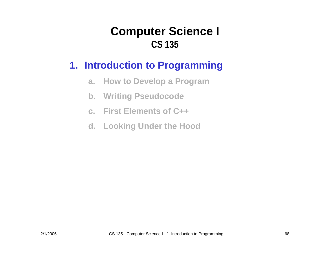### **1. Introduction to Programming**

- **a. How to Develop a Program**
- **b. Writing Pseudocode**
- **c. First Elements of C++**
- **d. Looking Under the Hood**